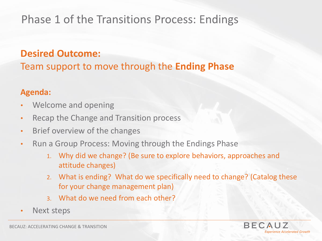# **Phase 1 of the Transitions Process: Endings**

### **Desired Outcome:**

Team support to move through the **Ending Phase**

#### **Agenda:**

- Welcome and opening
- Recap the Change and Transition process
- Brief overview of the changes
- Run a Group Process: Moving through the Endings Phase
	- 1. Why did we change? (Be sure to explore behaviors, approaches and attitude changes)
	- 2. What is ending? What do we specifically need to change? (Catalog these for your change management plan)
	- 3. What do we need from each other?
- Next steps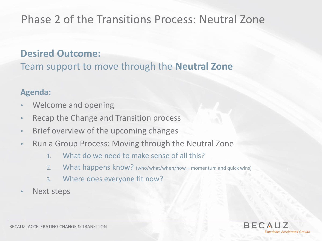# **Phase 2 of the Transitions Process: Neutral Zone**

### **Desired Outcome:**

Team support to move through the **Neutral Zone**

#### **Agenda:**

- Welcome and opening
- Recap the Change and Transition process
- Brief overview of the upcoming changes
- Run a Group Process: Moving through the Neutral Zone
	- 1. What do we need to make sense of all this?
	- 2. What happens know? (who/what/when/how momentum and quick wins)
	- 3. Where does everyone fit now?
- Next steps

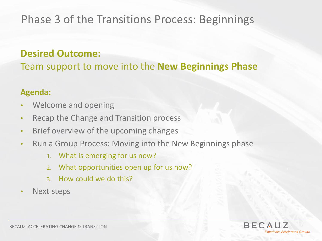## **Phase 3 of the Transitions Process: Beginnings**

### **Desired Outcome:**

Team support to move into the **New Beginnings Phase**

#### **Agenda:**

- Welcome and opening
- Recap the Change and Transition process
- Brief overview of the upcoming changes
- Run a Group Process: Moving into the New Beginnings phase
	- 1. What is emerging for us now?
	- 2. What opportunities open up for us now?
	- 3. How could we do this?
- Next steps